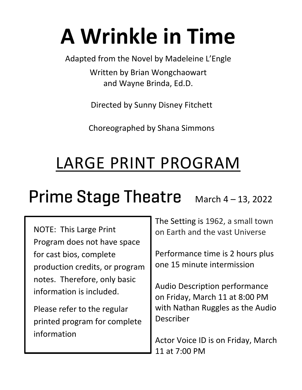# **A Wrinkle in Time**

Adapted from the Novel by Madeleine L'Engle

Written by Brian Wongchaowart and Wayne Brinda, Ed.D.

Directed by Sunny Disney Fitchett

Choreographed by Shana Simmons

# LARGE PRINT PROGRAM

## Prime Stage Theatre  $M$  March 4 – 13, 2022

NOTE: This Large Print Program does not have space for cast bios, complete production credits, or program notes. Therefore, only basic information is included.

Please refer to the regular printed program for complete information

The Setting is 1962, a small town on Earth and the vast Universe

Performance time is 2 hours plus one 15 minute intermission

Audio Description performance on Friday, March 11 at 8:00 PM with Nathan Ruggles as the Audio Describer

Actor Voice ID is on Friday, March 11 at 7:00 PM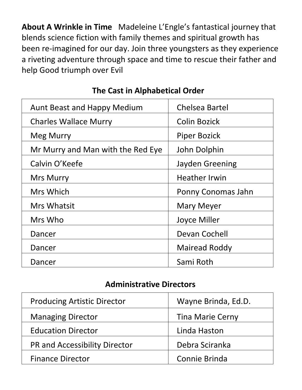**About A Wrinkle in Time** Madeleine L'Engle's fantastical journey that blends science fiction with family themes and spiritual growth has been re-imagined for our day. Join three youngsters as they experience a riveting adventure through space and time to rescue their father and help Good triumph over Evil

| <b>Aunt Beast and Happy Medium</b> | <b>Chelsea Bartel</b> |
|------------------------------------|-----------------------|
| <b>Charles Wallace Murry</b>       | <b>Colin Bozick</b>   |
| <b>Meg Murry</b>                   | <b>Piper Bozick</b>   |
| Mr Murry and Man with the Red Eye  | John Dolphin          |
| Calvin O'Keefe                     | Jayden Greening       |
| <b>Mrs Murry</b>                   | <b>Heather Irwin</b>  |
| Mrs Which                          | Ponny Conomas Jahn    |
| <b>Mrs Whatsit</b>                 | <b>Mary Meyer</b>     |
| Mrs Who                            | Joyce Miller          |
| Dancer                             | Devan Cochell         |
| Dancer                             | <b>Mairead Roddy</b>  |
| Dancer                             | Sami Roth             |

#### **The Cast in Alphabetical Order**

#### **Administrative Directors**

| <b>Producing Artistic Director</b> | Wayne Brinda, Ed.D.     |
|------------------------------------|-------------------------|
| <b>Managing Director</b>           | <b>Tina Marie Cerny</b> |
| <b>Education Director</b>          | Linda Haston            |
| PR and Accessibility Director      | Debra Sciranka          |
| <b>Finance Director</b>            | Connie Brinda           |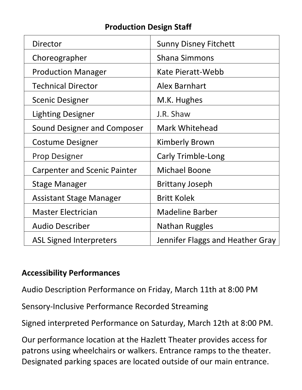#### **Production Design Staff**

| Director                            | <b>Sunny Disney Fitchett</b>     |
|-------------------------------------|----------------------------------|
| Choreographer                       | <b>Shana Simmons</b>             |
| <b>Production Manager</b>           | Kate Pieratt-Webb                |
| <b>Technical Director</b>           | <b>Alex Barnhart</b>             |
| <b>Scenic Designer</b>              | M.K. Hughes                      |
| <b>Lighting Designer</b>            | J.R. Shaw                        |
| Sound Designer and Composer         | <b>Mark Whitehead</b>            |
| <b>Costume Designer</b>             | <b>Kimberly Brown</b>            |
| <b>Prop Designer</b>                | Carly Trimble-Long               |
| <b>Carpenter and Scenic Painter</b> | <b>Michael Boone</b>             |
| <b>Stage Manager</b>                | <b>Brittany Joseph</b>           |
| <b>Assistant Stage Manager</b>      | <b>Britt Kolek</b>               |
| <b>Master Electrician</b>           | <b>Madeline Barber</b>           |
| <b>Audio Describer</b>              | <b>Nathan Ruggles</b>            |
| <b>ASL Signed Interpreters</b>      | Jennifer Flaggs and Heather Gray |

#### **Accessibility Performances**

Audio Description Performance on Friday, March 11th at 8:00 PM

Sensory-Inclusive Performance Recorded Streaming

Signed interpreted Performance on Saturday, March 12th at 8:00 PM.

Our performance location at the Hazlett Theater provides access for patrons using wheelchairs or walkers. Entrance ramps to the theater. Designated parking spaces are located outside of our main entrance.